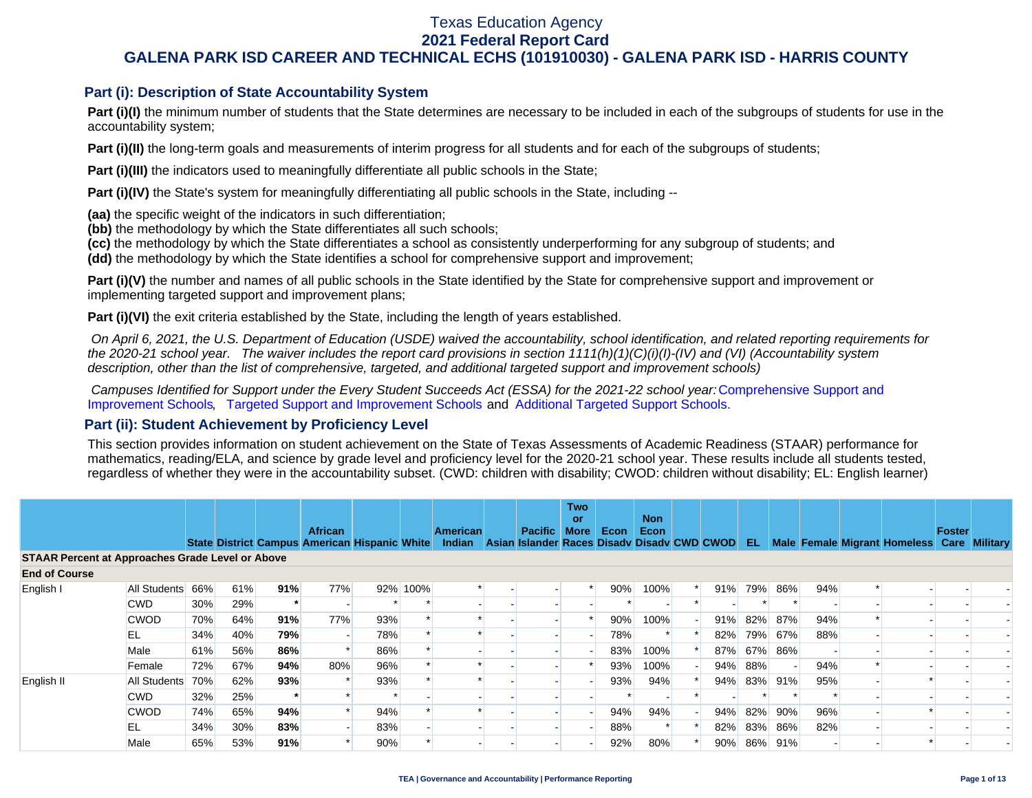## **Part (i): Description of State Accountability System**

Part (i)(I) the minimum number of students that the State determines are necessary to be included in each of the subgroups of students for use in the accountability system;

**Part (i)(II)** the long-term goals and measurements of interim progress for all students and for each of the subgroups of students;

**Part (i)(III)** the indicators used to meaningfully differentiate all public schools in the State;

**Part (i)(IV)** the State's system for meaningfully differentiating all public schools in the State, including --

**(aa)** the specific weight of the indicators in such differentiation;

**(bb)** the methodology by which the State differentiates all such schools;

**(cc)** the methodology by which the State differentiates a school as consistently underperforming for any subgroup of students; and

**(dd)** the methodology by which the State identifies a school for comprehensive support and improvement;

**Part (i)(V)** the number and names of all public schools in the State identified by the State for comprehensive support and improvement or implementing targeted support and improvement plans;

**Part (i)(VI)** the exit criteria established by the State, including the length of years established.

 *On April 6, 2021, the U.S. Department of Education (USDE) waived the accountability, school identification, and related reporting requirements for the 2020-21 school year. The waiver includes the report card provisions in section 1111(h)(1)(C)(i)(I)-(IV) and (VI) (Accountability system description, other than the list of comprehensive, targeted, and additional targeted support and improvement schools)* 

*Campuses Identified for Support under the Every Student Succeeds Act (ESSA) for the 2021-22 school year:* [Comprehensive Support and](https://tea.texas.gov/sites/default/files/comprehensive_support_2021.xlsx) [Improvement Schools](https://tea.texas.gov/sites/default/files/comprehensive_support_2021.xlsx), [Targeted Support and Improvement Schools](https://tea.texas.gov/sites/default/files/targeted_support_2021.xlsx) and [Additional Targeted Support Schools.](https://tea.texas.gov/sites/default/files/additional_targeted_support_2021.xlsx)

### **Part (ii): Student Achievement by Proficiency Level**

This section provides information on student achievement on the State of Texas Assessments of Academic Readiness (STAAR) performance for mathematics, reading/ELA, and science by grade level and proficiency level for the 2020-21 school year. These results include all students tested, regardless of whether they were in the accountability subset. (CWD: children with disability; CWOD: children without disability; EL: English learner)

|                                                         |                                                               |     |                                                      |     |                |     |          |                 |                                             | <b>Two</b>        |      |                    |  |     |     |     |     |                                            |               |  |
|---------------------------------------------------------|---------------------------------------------------------------|-----|------------------------------------------------------|-----|----------------|-----|----------|-----------------|---------------------------------------------|-------------------|------|--------------------|--|-----|-----|-----|-----|--------------------------------------------|---------------|--|
|                                                         |                                                               |     |                                                      |     | <b>African</b> |     |          | <b>American</b> | <b>Pacific</b>                              | or<br><b>More</b> | Econ | <b>Non</b><br>Econ |  |     |     |     |     |                                            | <b>Foster</b> |  |
|                                                         |                                                               |     | <b>State District Campus American Hispanic White</b> |     |                |     |          | <b>Indian</b>   | Asian Islander Races Disady Disady CWD CWOD |                   |      |                    |  |     | EL. |     |     | Male Female Migrant Homeless Care Military |               |  |
| <b>STAAR Percent at Approaches Grade Level or Above</b> |                                                               |     |                                                      |     |                |     |          |                 |                                             |                   |      |                    |  |     |     |     |     |                                            |               |  |
| <b>End of Course</b>                                    |                                                               |     |                                                      |     |                |     |          |                 |                                             |                   |      |                    |  |     |     |     |     |                                            |               |  |
| English I                                               | All Students                                                  | 66% | 61%                                                  | 91% | 77%            |     | 92% 100% |                 |                                             |                   | 90%  | 100%               |  | 91% | 79% | 86% | 94% |                                            |               |  |
|                                                         | <b>CWD</b>                                                    | 30% | 29%                                                  |     |                |     |          |                 |                                             |                   |      |                    |  |     |     |     |     |                                            |               |  |
|                                                         | 77%<br>91%<br>93%<br>70%<br>64%<br>90%<br>100%<br><b>CWOD</b> | 91% | 82%                                                  | 87% | 94%            |     |          |                 |                                             |                   |      |                    |  |     |     |     |     |                                            |               |  |
|                                                         | EL                                                            | 34% | 78%<br>40%<br>79%<br>78%<br>79%<br>67%<br>88%<br>82% |     |                |     |          |                 |                                             |                   |      |                    |  |     |     |     |     |                                            |               |  |
|                                                         | Male                                                          | 61% | 56%                                                  | 86% |                | 86% |          |                 |                                             |                   | 83%  | 100%               |  | 87% | 67% | 86% |     |                                            |               |  |
|                                                         | Female                                                        | 72% | 67%                                                  | 94% | 80%            | 96% |          |                 |                                             |                   | 93%  | 100%               |  | 94% | 88% |     | 94% |                                            |               |  |
| English II                                              | All Students                                                  | 70% | 62%                                                  | 93% |                | 93% |          |                 |                                             |                   | 93%  | 94%                |  | 94% | 83% | 91% | 95% |                                            |               |  |
|                                                         | <b>CWD</b>                                                    | 32% | 25%                                                  |     |                |     |          |                 |                                             |                   |      |                    |  |     |     |     |     |                                            |               |  |
|                                                         | <b>CWOD</b>                                                   | 74% | 65%                                                  | 94% |                | 94% |          |                 |                                             |                   | 94%  | 94%                |  | 94% | 82% | 90% | 96% |                                            |               |  |
|                                                         | EL                                                            | 34% | 30%                                                  | 83% |                | 83% |          |                 |                                             |                   | 88%  |                    |  | 82% | 83% | 86% | 82% |                                            |               |  |
|                                                         | Male                                                          | 65% | 53%                                                  | 91% |                | 90% |          |                 |                                             |                   | 92%  | 80%                |  | 90% | 86% | 91% |     |                                            |               |  |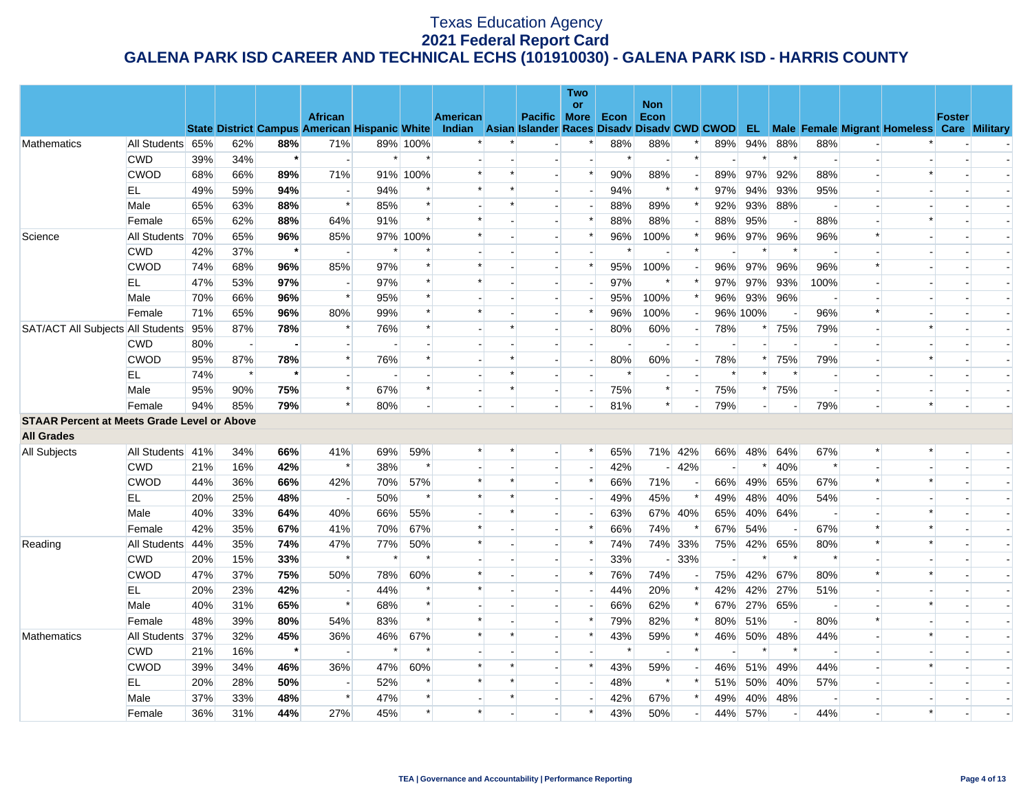|                                                    |                  |     |                          |         |                                                      |        |          |                                                    |        |                          | Two            |        |                    |         |     |                |        |      |                          |                                                      |               |  |
|----------------------------------------------------|------------------|-----|--------------------------|---------|------------------------------------------------------|--------|----------|----------------------------------------------------|--------|--------------------------|----------------|--------|--------------------|---------|-----|----------------|--------|------|--------------------------|------------------------------------------------------|---------------|--|
|                                                    |                  |     |                          |         | <b>African</b>                                       |        |          | <b>American</b>                                    |        | <b>Pacific More</b>      | <b>or</b>      | Econ   | <b>Non</b><br>Econ |         |     |                |        |      |                          |                                                      | <b>Foster</b> |  |
|                                                    |                  |     |                          |         | <b>State District Campus American Hispanic White</b> |        |          | Indian Asian Islander Races Disady Disady CWD CWOD |        |                          |                |        |                    |         |     |                |        |      |                          | <b>EL</b> Male Female Migrant Homeless Care Military |               |  |
| Mathematics                                        | All Students 65% |     | 62%                      | 88%     | 71%                                                  |        | 89% 100% |                                                    |        |                          |                | 88%    | 88%                |         | 89% | 94%            | 88%    | 88%  | $\sim$                   |                                                      |               |  |
|                                                    | <b>CWD</b>       | 39% | 34%                      | $\star$ |                                                      | $\ast$ |          |                                                    |        |                          |                | $\ast$ |                    | $\ast$  |     | $\ast$         |        |      | $\sim$                   |                                                      |               |  |
|                                                    | <b>CWOD</b>      | 68% | 66%                      | 89%     | 71%                                                  |        | 91% 100% |                                                    | $\ast$ |                          | $\ast$         | 90%    | 88%                |         | 89% | 97%            | 92%    | 88%  |                          | $\ast$                                               |               |  |
|                                                    | EL               | 49% | 59%                      | 94%     |                                                      | 94%    |          | $\ast$                                             | $\ast$ |                          |                | 94%    | ∗                  | ∗       | 97% | 94%            | 93%    | 95%  | $\blacksquare$           | $\overline{\phantom{a}}$                             |               |  |
|                                                    | Male             | 65% | 63%                      | 88%     | $\ast$                                               | 85%    |          |                                                    | $\ast$ |                          |                | 88%    | 89%                |         | 92% | 93%            | 88%    |      | $\overline{\phantom{a}}$ |                                                      |               |  |
|                                                    | Female           | 65% | 62%                      | 88%     | 64%                                                  | 91%    |          | $\ast$                                             |        |                          | $\ast$         | 88%    | 88%                |         | 88% | 95%            |        | 88%  |                          | $\ast$                                               |               |  |
| Science                                            | All Students 70% |     | 65%                      | 96%     | 85%                                                  |        | 97% 100% |                                                    |        |                          | $\ast$         | 96%    | 100%               |         | 96% | 97%            | 96%    | 96%  | $\ast$                   |                                                      |               |  |
|                                                    | <b>CWD</b>       | 42% | 37%                      | $\star$ |                                                      | $\ast$ |          |                                                    |        |                          |                | $\ast$ |                    | $\ast$  |     | $\ast$         | $\ast$ |      |                          |                                                      |               |  |
|                                                    | <b>CWOD</b>      | 74% | 68%                      | 96%     | 85%                                                  | 97%    |          | $\ast$                                             |        |                          | $\ast$         | 95%    | 100%               |         | 96% | 97%            | 96%    | 96%  | $\ast$                   |                                                      |               |  |
|                                                    | EL               | 47% | 53%                      | 97%     |                                                      | 97%    |          |                                                    |        |                          |                | 97%    | $\ast$             |         | 97% | 97%            | 93%    | 100% | $\overline{\phantom{a}}$ |                                                      |               |  |
|                                                    | Male             | 70% | 66%                      | 96%     | $\ast$                                               | 95%    |          |                                                    |        |                          |                | 95%    | 100%               |         | 96% | 93%            | 96%    |      |                          |                                                      |               |  |
|                                                    | Female           | 71% | 65%                      | 96%     | 80%                                                  | 99%    |          |                                                    |        |                          | $\ast$         | 96%    | 100%               |         |     | 96% 100%       |        | 96%  | $\ast$                   |                                                      |               |  |
| SAT/ACT All Subjects All Students 95%              |                  |     | 87%                      | 78%     |                                                      | 76%    |          |                                                    | $\ast$ |                          |                | 80%    | 60%                |         | 78% | $\ast$         | 75%    | 79%  | $\blacksquare$           | $\ast$                                               |               |  |
|                                                    | <b>CWD</b>       | 80% | $\overline{\phantom{a}}$ |         |                                                      |        |          |                                                    |        |                          |                |        |                    |         |     |                |        |      | $\sim$                   | $\overline{\phantom{a}}$                             |               |  |
|                                                    | <b>CWOD</b>      | 95% | 87%                      | 78%     | $\ast$                                               | 76%    |          |                                                    | $\ast$ |                          |                | 80%    | 60%                |         | 78% | $\ast$         | 75%    | 79%  | $\blacksquare$           | $\ast$                                               |               |  |
|                                                    | EL               | 74% | $\ast$                   | $\star$ |                                                      |        |          |                                                    | $\ast$ |                          | $\overline{a}$ | $\ast$ |                    |         |     | $\ast$         |        |      | $\overline{a}$           |                                                      |               |  |
|                                                    | Male             | 95% | 90%                      | 75%     | $\ast$                                               | 67%    |          |                                                    | $\ast$ |                          |                | 75%    | $\ast$             |         | 75% | $\ast$         | 75%    |      | $\overline{\phantom{a}}$ |                                                      |               |  |
|                                                    | Female           | 94% | 85%                      | 79%     |                                                      | 80%    |          |                                                    |        |                          |                | 81%    | $\ast$             |         | 79% | $\overline{a}$ |        | 79%  |                          | $\ast$                                               |               |  |
| <b>STAAR Percent at Meets Grade Level or Above</b> |                  |     |                          |         |                                                      |        |          |                                                    |        |                          |                |        |                    |         |     |                |        |      |                          |                                                      |               |  |
| <b>All Grades</b>                                  |                  |     |                          |         |                                                      |        |          |                                                    |        |                          |                |        |                    |         |     |                |        |      |                          |                                                      |               |  |
| All Subjects                                       | All Students 41% |     | 34%                      | 66%     | 41%                                                  | 69%    | 59%      |                                                    | $\ast$ | $\overline{\phantom{a}}$ | $\ast$         | 65%    |                    | 71% 42% | 66% | 48%            | 64%    | 67%  | $\ast$                   | $\ast$                                               |               |  |
|                                                    | <b>CWD</b>       | 21% | 16%                      | 42%     |                                                      | 38%    |          |                                                    |        | $\blacksquare$           |                | 42%    |                    | 42%     |     | $\ast$         | 40%    |      | $\blacksquare$           |                                                      |               |  |
|                                                    | <b>CWOD</b>      | 44% | 36%                      | 66%     | 42%                                                  | 70%    | 57%      | $\ast$                                             | $\ast$ |                          | $\ast$         | 66%    | 71%                |         | 66% | 49%            | 65%    | 67%  | $\ast$                   | $\ast$                                               |               |  |
|                                                    | EL               | 20% | 25%                      | 48%     |                                                      | 50%    | $\ast$   | $\ast$                                             | $\ast$ | $\overline{a}$           |                | 49%    | 45%                | $\ast$  | 49% | 48%            | 40%    | 54%  | $\overline{\phantom{a}}$ |                                                      |               |  |
|                                                    | Male             | 40% | 33%                      | 64%     | 40%                                                  | 66%    | 55%      |                                                    | $\ast$ |                          |                | 63%    |                    | 67% 40% | 65% | 40%            | 64%    |      |                          | $\ast$                                               |               |  |
|                                                    | Female           | 42% | 35%                      | 67%     | 41%                                                  | 70%    | 67%      | *                                                  |        |                          | $\ast$         | 66%    | 74%                |         | 67% | 54%            |        | 67%  | $\ast$                   | $\ast$                                               |               |  |
| Reading                                            | All Students     | 44% | 35%                      | 74%     | 47%                                                  | 77%    | 50%      |                                                    |        |                          | $\ast$         | 74%    |                    | 74% 33% | 75% | 42%            | 65%    | 80%  | $\ast$                   | $\ast$                                               |               |  |
|                                                    | <b>CWD</b>       | 20% | 15%                      | 33%     | $\ast$                                               | $\ast$ |          |                                                    |        |                          |                | 33%    |                    | $-33%$  |     | $\ast$         |        |      |                          |                                                      |               |  |
|                                                    | <b>CWOD</b>      | 47% | 37%                      | 75%     | 50%                                                  | 78%    | 60%      | $\ast$                                             |        |                          | $\ast$         | 76%    | 74%                |         | 75% | 42%            | 67%    | 80%  | $\ast$                   | $\ast$                                               |               |  |
|                                                    | EL               | 20% | 23%                      | 42%     |                                                      | 44%    |          |                                                    |        |                          |                | 44%    | 20%                |         | 42% | 42%            | 27%    | 51%  | $\overline{\phantom{a}}$ |                                                      |               |  |
|                                                    | Male             | 40% | 31%                      | 65%     | $\ast$                                               | 68%    |          |                                                    |        |                          |                | 66%    | 62%                |         | 67% | 27%            | 65%    |      |                          | $\ast$                                               |               |  |
|                                                    | Female           | 48% | 39%                      | 80%     | 54%                                                  | 83%    |          |                                                    |        |                          | $\ast$         | 79%    | 82%                |         | 80% | 51%            |        | 80%  | $\ast$                   |                                                      |               |  |
| Mathematics                                        | All Students 37% |     | 32%                      | 45%     | 36%                                                  | 46%    | 67%      | $\ast$                                             | $\ast$ |                          | $\ast$         | 43%    | 59%                |         | 46% | 50%            | 48%    | 44%  | $\blacksquare$           | $\ast$                                               |               |  |
|                                                    | <b>CWD</b>       | 21% | 16%                      | $\star$ | $\overline{\phantom{a}}$                             | $\ast$ |          |                                                    |        |                          |                | $\ast$ |                    | $\ast$  |     | $\ast$         | $\ast$ |      | $\overline{a}$           |                                                      |               |  |
|                                                    | <b>CWOD</b>      | 39% | 34%                      | 46%     | 36%                                                  | 47%    | 60%      |                                                    | $\ast$ |                          | $\ast$         | 43%    | 59%                |         | 46% | 51%            | 49%    | 44%  |                          | $\ast$                                               |               |  |
|                                                    | EL               | 20% | 28%                      | 50%     | $\sim$                                               | 52%    |          | $\ast$                                             | $\ast$ |                          | $\overline{a}$ | 48%    | $\ast$             |         | 51% | 50%            | 40%    | 57%  | $\blacksquare$           |                                                      |               |  |
|                                                    | Male             | 37% | 33%                      | 48%     | $\ast$                                               | 47%    |          |                                                    |        |                          |                | 42%    | 67%                |         | 49% | 40%            | 48%    |      |                          |                                                      |               |  |
|                                                    | Female           | 36% | 31%                      | 44%     | 27%                                                  | 45%    |          | $\ast$                                             |        |                          | $\ast$         | 43%    | 50%                |         | 44% | 57%            |        | 44%  |                          | $\ast$                                               |               |  |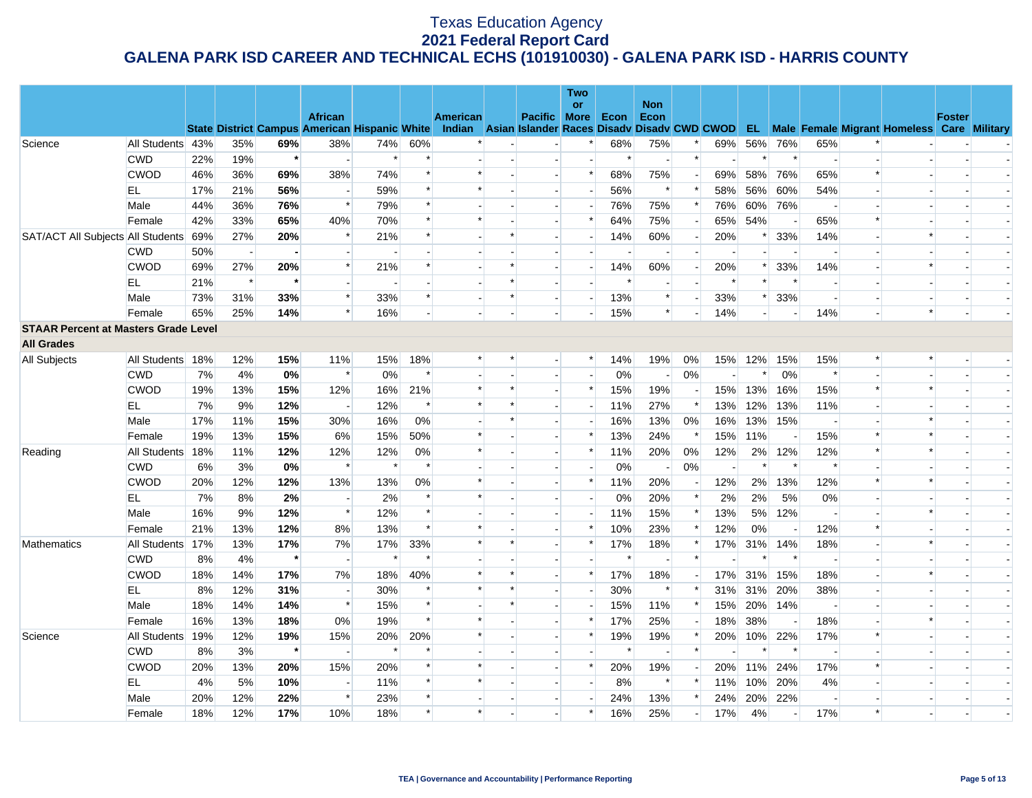|                                             |                  |     |        |         |                                                      |        |        |                                    |        |                          | Two            |      |                    |        |                        |        |        |                          |                |                                                      |               |  |
|---------------------------------------------|------------------|-----|--------|---------|------------------------------------------------------|--------|--------|------------------------------------|--------|--------------------------|----------------|------|--------------------|--------|------------------------|--------|--------|--------------------------|----------------|------------------------------------------------------|---------------|--|
|                                             |                  |     |        |         | <b>African</b>                                       |        |        | <b>American</b>                    |        | <b>Pacific More</b>      | <b>or</b>      | Econ | <b>Non</b><br>Econ |        |                        |        |        |                          |                |                                                      | <b>Foster</b> |  |
|                                             |                  |     |        |         | <b>State District Campus American Hispanic White</b> |        |        | Indian Asian Islander Races Disady |        |                          |                |      |                    |        | <b>Disady CWD CWOD</b> |        |        |                          |                | <b>EL</b> Male Female Migrant Homeless Care Military |               |  |
| Science                                     | All Students 43% |     | 35%    | 69%     | 38%                                                  | 74%    | 60%    |                                    |        |                          |                | 68%  | 75%                |        | 69%                    | 56%    | 76%    | 65%                      |                |                                                      |               |  |
|                                             | <b>CWD</b>       | 22% | 19%    | $\star$ |                                                      |        |        |                                    |        |                          |                |      |                    | $\ast$ |                        | $\ast$ | $\ast$ | $\overline{\phantom{a}}$ |                |                                                      |               |  |
|                                             | <b>CWOD</b>      | 46% | 36%    | 69%     | 38%                                                  | 74%    | $\ast$ | $\ast$                             |        |                          | $\ast$         | 68%  | 75%                |        | 69%                    | 58%    | 76%    | 65%                      | $\ast$         |                                                      |               |  |
|                                             | EL               | 17% | 21%    | 56%     | $\overline{\phantom{a}}$                             | 59%    | $\ast$ | $\ast$                             |        | $\blacksquare$           |                | 56%  | ∗                  |        | 58%                    | 56%    | 60%    | 54%                      | $\overline{a}$ |                                                      |               |  |
|                                             | Male             | 44% | 36%    | 76%     | $\ast$                                               | 79%    |        |                                    |        | $\overline{\phantom{a}}$ |                | 76%  | 75%                |        | 76%                    | 60%    | 76%    |                          |                | $\overline{\phantom{a}}$                             |               |  |
|                                             | Female           | 42% | 33%    | 65%     | 40%                                                  | 70%    |        | $\ast$                             |        |                          | $\ast$         | 64%  | 75%                |        | 65%                    | 54%    |        | 65%                      | $\ast$         |                                                      |               |  |
| SAT/ACT All Subjects All Students           |                  | 69% | 27%    | 20%     | $\ast$                                               | 21%    |        |                                    |        |                          |                | 14%  | 60%                |        | 20%                    | *      | 33%    | 14%                      |                | $\ast$                                               |               |  |
|                                             | <b>CWD</b>       | 50% | $\sim$ |         |                                                      |        |        |                                    |        |                          |                |      |                    |        |                        |        |        |                          |                |                                                      |               |  |
|                                             | <b>CWOD</b>      | 69% | 27%    | 20%     | $\ast$                                               | 21%    |        |                                    |        | $\blacksquare$           |                | 14%  | 60%                |        | 20%                    | *      | 33%    | 14%                      |                | $\ast$                                               |               |  |
|                                             | EL               | 21% | $\ast$ |         |                                                      |        |        |                                    |        |                          |                |      |                    |        |                        |        |        |                          |                |                                                      |               |  |
|                                             | Male             | 73% | 31%    | 33%     | $\ast$                                               | 33%    |        | $\overline{\phantom{a}}$           | $\ast$ | $\overline{\phantom{a}}$ |                | 13%  | $\ast$             |        | 33%                    | $\ast$ | 33%    |                          |                |                                                      |               |  |
|                                             | Female           | 65% | 25%    | 14%     | $\ast$                                               | 16%    |        | $\overline{\phantom{a}}$           |        | $\overline{\phantom{a}}$ |                | 15%  | $\ast$             |        | 14%                    |        |        | 14%                      |                | $\ast$                                               |               |  |
| <b>STAAR Percent at Masters Grade Level</b> |                  |     |        |         |                                                      |        |        |                                    |        |                          |                |      |                    |        |                        |        |        |                          |                |                                                      |               |  |
| <b>All Grades</b>                           |                  |     |        |         |                                                      |        |        |                                    |        |                          |                |      |                    |        |                        |        |        |                          |                |                                                      |               |  |
| <b>All Subjects</b>                         | All Students 18% |     | 12%    | 15%     | 11%                                                  | 15%    | 18%    |                                    |        | $\overline{\phantom{a}}$ | $\ast$         | 14%  | 19%                | 0%     | 15%                    | 12%    | 15%    | 15%                      | $\ast$         | $\ast$                                               |               |  |
|                                             | <b>CWD</b>       | 7%  | 4%     | 0%      | $\ast$                                               | 0%     | $\ast$ |                                    |        | $\overline{a}$           |                | 0%   |                    | 0%     | $\overline{a}$         | $\ast$ | 0%     | $\ast$                   |                |                                                      |               |  |
|                                             | <b>CWOD</b>      | 19% | 13%    | 15%     | 12%                                                  | 16%    | 21%    | $\ast$                             |        |                          | $\ast$         | 15%  | 19%                |        | 15%                    | 13%    | 16%    | 15%                      | $\ast$         | $\ast$                                               |               |  |
|                                             | EL               | 7%  | 9%     | 12%     |                                                      | 12%    | $\ast$ | $\ast$                             |        |                          |                | 11%  | 27%                |        | 13%                    | 12%    | 13%    | 11%                      |                |                                                      |               |  |
|                                             | Male             | 17% | 11%    | 15%     | 30%                                                  | 16%    | 0%     | $\blacksquare$                     |        | $\blacksquare$           |                | 16%  | 13%                | 0%     | 16%                    | 13%    | 15%    | $\overline{\phantom{a}}$ |                | $\ast$                                               |               |  |
|                                             | Female           | 19% | 13%    | 15%     | 6%                                                   | 15%    | 50%    | $\ast$                             |        |                          | $\ast$         | 13%  | 24%                |        | 15%                    | 11%    |        | 15%                      | $\ast$         | $\ast$                                               |               |  |
| Reading                                     | All Students 18% |     | 11%    | 12%     | 12%                                                  | 12%    | 0%     | $\ast$                             |        | $\overline{a}$           | $\ast$         | 11%  | 20%                | 0%     | 12%                    | 2%     | 12%    | 12%                      | $\ast$         | $\ast$                                               |               |  |
|                                             | <b>CWD</b>       | 6%  | 3%     | 0%      | $\ast$                                               | $\ast$ | $\ast$ |                                    |        |                          |                | 0%   |                    | 0%     |                        | $\ast$ | $\ast$ | $\ast$                   |                |                                                      |               |  |
|                                             | <b>CWOD</b>      | 20% | 12%    | 12%     | 13%                                                  | 13%    | $0\%$  | $\ast$                             |        | $\blacksquare$           | $\ast$         | 11%  | 20%                |        | 12%                    | 2%     | 13%    | 12%                      | $\ast$         | $\ast$                                               |               |  |
|                                             | EL               | 7%  | 8%     | 2%      | $\overline{\phantom{a}}$                             | 2%     |        | $\ast$                             |        | $\overline{\phantom{a}}$ |                | 0%   | 20%                |        | 2%                     | 2%     | 5%     | 0%                       |                |                                                      |               |  |
|                                             | Male             | 16% | 9%     | 12%     | $\ast$                                               | 12%    | $\ast$ |                                    |        |                          |                | 11%  | 15%                |        | 13%                    | 5%     | 12%    |                          |                | $\ast$                                               |               |  |
|                                             | Female           | 21% | 13%    | 12%     | 8%                                                   | 13%    | $\ast$ | $\ast$                             |        |                          | $\ast$         | 10%  | 23%                |        | 12%                    | 0%     |        | 12%                      | $\ast$         |                                                      |               |  |
| Mathematics                                 | All Students 17% |     | 13%    | 17%     | 7%                                                   | 17%    | 33%    | $\ast$                             | $\ast$ |                          | *              | 17%  | 18%                |        | 17%                    | 31%    | 14%    | 18%                      |                | $\ast$                                               |               |  |
|                                             | <b>CWD</b>       | 8%  | 4%     | $\star$ | $\overline{\phantom{a}}$                             |        |        |                                    |        |                          |                |      |                    |        |                        |        | $\ast$ |                          |                |                                                      |               |  |
|                                             | <b>CWOD</b>      | 18% | 14%    | 17%     | 7%                                                   | 18%    | 40%    | $\ast$                             |        | $\blacksquare$           | *              | 17%  | 18%                |        | 17%                    | 31%    | 15%    | 18%                      |                | $\ast$                                               |               |  |
|                                             | EL               | 8%  | 12%    | 31%     | $\blacksquare$                                       | 30%    |        | $\ast$                             |        |                          |                | 30%  | $\ast$             |        | 31%                    | 31%    | 20%    | 38%                      |                |                                                      |               |  |
|                                             | Male             | 18% | 14%    | 14%     | $\ast$                                               | 15%    | $\ast$ |                                    |        | $\blacksquare$           |                | 15%  | 11%                |        | 15%                    | 20%    | 14%    | $\overline{\phantom{a}}$ | $\overline{a}$ |                                                      |               |  |
|                                             | Female           | 16% | 13%    | 18%     | 0%                                                   | 19%    | $\ast$ | $\ast$                             |        |                          | $\ast$         | 17%  | 25%                |        | 18%                    | 38%    |        | 18%                      |                | $\ast$                                               |               |  |
| Science                                     | All Students 19% |     | 12%    | 19%     | 15%                                                  | 20%    | 20%    | $\ast$                             |        | $\overline{a}$           | $\ast$         | 19%  | 19%                |        | 20%                    | 10%    | 22%    | 17%                      | $\ast$         |                                                      |               |  |
|                                             | <b>CWD</b>       | 8%  | 3%     | $\star$ | $\overline{\phantom{a}}$                             |        |        |                                    |        |                          |                |      |                    |        |                        |        | $\ast$ | $\overline{\phantom{a}}$ |                |                                                      |               |  |
|                                             | <b>CWOD</b>      | 20% | 13%    | 20%     | 15%                                                  | 20%    |        | $\ast$                             |        |                          | $\ast$         | 20%  | 19%                |        | 20%                    | 11%    | 24%    | 17%                      | $\ast$         |                                                      |               |  |
|                                             | EL               | 4%  | 5%     | 10%     | $\overline{\phantom{a}}$                             | 11%    |        | $\ast$                             |        | $\overline{a}$           | $\overline{a}$ | 8%   | $\ast$             |        | 11%                    | 10%    | 20%    | 4%                       |                |                                                      |               |  |
|                                             | Male             | 20% | 12%    | 22%     | $\ast$                                               | 23%    |        |                                    |        |                          |                | 24%  | 13%                |        | 24%                    | 20%    | 22%    |                          |                |                                                      |               |  |
|                                             | Female           | 18% | 12%    | 17%     | 10%                                                  | 18%    |        | $\ast$                             |        | $\overline{a}$           | *              | 16%  | 25%                |        | 17%                    | 4%     |        | 17%                      | $\ast$         |                                                      |               |  |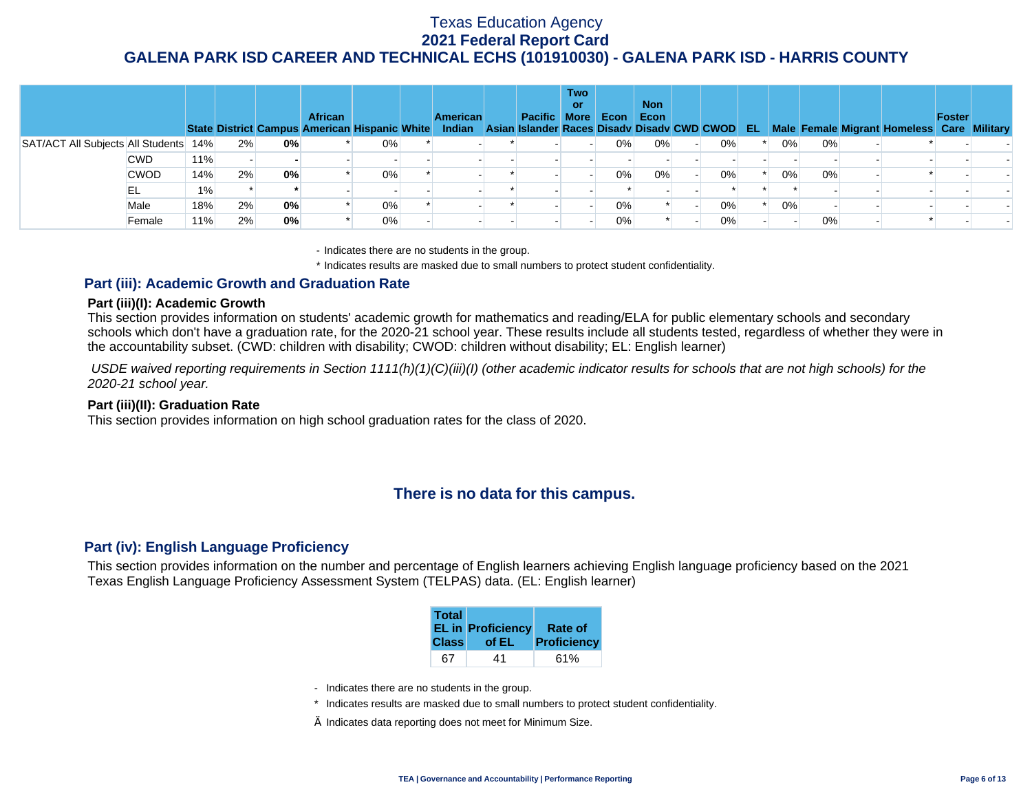|                                       |             |       |    |    | <b>African</b><br>State District Campus American Hispanic White Indian Asian Islander Races Disadv Disadv CWD CWOD |       | <b>American</b> | <b>Pacific More</b> | <b>Two</b><br>or | Econ  | <b>Non</b><br>Econ |    | EL. |       |       | Male Female Migrant Homeless Care Military | Foster |  |
|---------------------------------------|-------------|-------|----|----|--------------------------------------------------------------------------------------------------------------------|-------|-----------------|---------------------|------------------|-------|--------------------|----|-----|-------|-------|--------------------------------------------|--------|--|
| SAT/ACT All Subjects All Students 14% |             |       | 2% | 0% |                                                                                                                    | $0\%$ |                 |                     |                  | 0%    | 0%                 | 0% |     | 0%    | 0%    |                                            |        |  |
|                                       | <b>CWD</b>  | 11%   |    |    |                                                                                                                    |       |                 |                     |                  |       |                    |    |     |       |       |                                            |        |  |
|                                       | <b>CWOD</b> | 14%   | 2% | 0% |                                                                                                                    | $0\%$ |                 |                     |                  | 0%    | 0%                 | 0% |     | 0%    | 0%    |                                            |        |  |
|                                       | EL          | $1\%$ |    |    |                                                                                                                    |       |                 |                     |                  |       |                    |    |     |       |       |                                            |        |  |
|                                       | Male        | 18%   | 2% | 0% |                                                                                                                    | 0%    |                 |                     |                  | 0%    |                    | 0% |     | $0\%$ |       |                                            |        |  |
|                                       | Female      | 11%   | 2% | 0% |                                                                                                                    | $0\%$ |                 |                     |                  | $0\%$ |                    | 0% |     |       | $0\%$ |                                            |        |  |

- Indicates there are no students in the group.

\* Indicates results are masked due to small numbers to protect student confidentiality.

### **Part (iii): Academic Growth and Graduation Rate**

#### **Part (iii)(I): Academic Growth**

This section provides information on students' academic growth for mathematics and reading/ELA for public elementary schools and secondary schools which don't have a graduation rate, for the 2020-21 school year. These results include all students tested, regardless of whether they were in the accountability subset. (CWD: children with disability; CWOD: children without disability; EL: English learner)

 *USDE waived reporting requirements in Section 1111(h)(1)(C)(iii)(I) (other academic indicator results for schools that are not high schools) for the 2020-21 school year.* 

#### **Part (iii)(II): Graduation Rate**

This section provides information on high school graduation rates for the class of 2020.

## **There is no data for this campus.**

### **Part (iv): English Language Proficiency**

This section provides information on the number and percentage of English learners achieving English language proficiency based on the 2021 Texas English Language Proficiency Assessment System (TELPAS) data. (EL: English learner)

| <b>Total</b> | <b>EL in Proficiency</b> | <b>Rate of</b> |
|--------------|--------------------------|----------------|
| <b>Class</b> | of EL                    | Proficiency    |
| 67           | 41                       |                |

- Indicates there are no students in the group.
- \* Indicates results are masked due to small numbers to protect student confidentiality.
- $\diamond$  Indicates data reporting does not meet for Minimum Size.